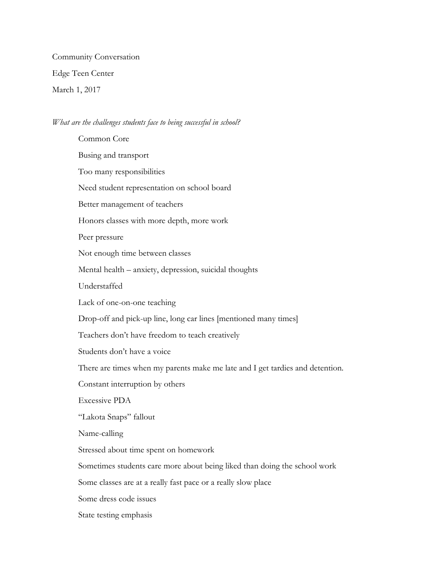Community Conversation Edge Teen Center March 1, 2017

## *What are the challenges students face to being successful in school?*

Common Core Busing and transport Too many responsibilities Need student representation on school board Better management of teachers Honors classes with more depth, more work Peer pressure Not enough time between classes Mental health – anxiety, depression, suicidal thoughts Understaffed Lack of one-on-one teaching Drop-off and pick-up line, long car lines [mentioned many times] Teachers don't have freedom to teach creatively Students don't have a voice There are times when my parents make me late and I get tardies and detention. Constant interruption by others Excessive PDA "Lakota Snaps" fallout Name-calling Stressed about time spent on homework Sometimes students care more about being liked than doing the school work Some classes are at a really fast pace or a really slow place Some dress code issues State testing emphasis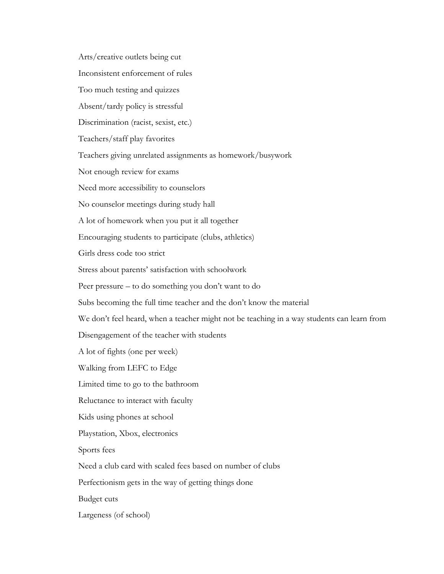Arts/creative outlets being cut Inconsistent enforcement of rules Too much testing and quizzes Absent/tardy policy is stressful Discrimination (racist, sexist, etc.) Teachers/staff play favorites Teachers giving unrelated assignments as homework/busywork Not enough review for exams Need more accessibility to counselors No counselor meetings during study hall A lot of homework when you put it all together Encouraging students to participate (clubs, athletics) Girls dress code too strict Stress about parents' satisfaction with schoolwork Peer pressure – to do something you don't want to do Subs becoming the full time teacher and the don't know the material We don't feel heard, when a teacher might not be teaching in a way students can learn from Disengagement of the teacher with students A lot of fights (one per week) Walking from LEFC to Edge Limited time to go to the bathroom Reluctance to interact with faculty Kids using phones at school Playstation, Xbox, electronics Sports fees Need a club card with scaled fees based on number of clubs Perfectionism gets in the way of getting things done Budget cuts Largeness (of school)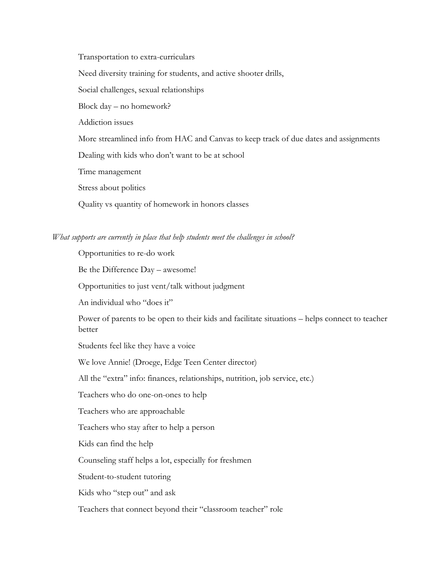Transportation to extra-curriculars Need diversity training for students, and active shooter drills, Social challenges, sexual relationships Block day – no homework? Addiction issues More streamlined info from HAC and Canvas to keep track of due dates and assignments Dealing with kids who don't want to be at school Time management Stress about politics

## *What supports are currently in place that help students meet the challenges in school?*

Quality vs quantity of homework in honors classes

Opportunities to re-do work Be the Difference Day – awesome! Opportunities to just vent/talk without judgment An individual who "does it" Power of parents to be open to their kids and facilitate situations – helps connect to teacher better Students feel like they have a voice We love Annie! (Droege, Edge Teen Center director) All the "extra" info: finances, relationships, nutrition, job service, etc.) Teachers who do one-on-ones to help Teachers who are approachable Teachers who stay after to help a person Kids can find the help Counseling staff helps a lot, especially for freshmen Student-to-student tutoring Kids who "step out" and ask Teachers that connect beyond their "classroom teacher" role